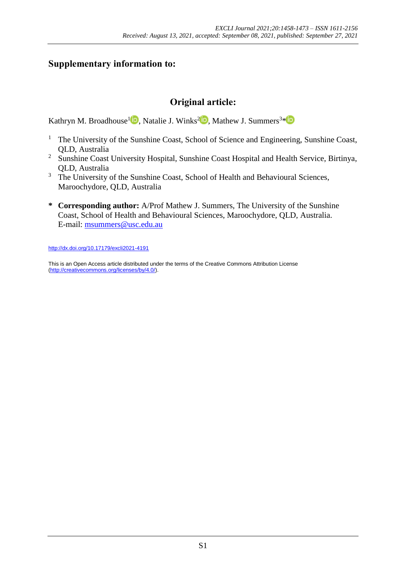## **Supplementary information to:**

# **Original article:**

Kathryn M. Broadhouse<sup>l in</sup>, Natalie J. Winks<sup>[2](https://orcid.org/0000-0003-1267-4670)</sup><sup>in</sup>, Mathew J. Summers<sup>3[\\*](https://orcid.org/0000-0002-3869-4920)</sup>

- <sup>1</sup> The University of the Sunshine Coast, School of Science and Engineering, Sunshine Coast, QLD, Australia
- <sup>2</sup> Sunshine Coast University Hospital, Sunshine Coast Hospital and Health Service, Birtinya, QLD, Australia
- <sup>3</sup> The University of the Sunshine Coast, School of Health and Behavioural Sciences, Maroochydore, QLD, Australia
- **\* Corresponding author:** A/Prof Mathew J. Summers, The University of the Sunshine Coast, School of Health and Behavioural Sciences, Maroochydore, QLD, Australia. E-mail: [msummers@usc.edu.au](mailto:msummers@usc.edu.au)

<http://dx.doi.org/10.17179/excli2021-4191>

This is an Open Access article distributed under the terms of the Creative Commons Attribution License [\(http://creativecommons.org/licenses/by/4.0/\)](http://creativecommons.org/licenses/by/4.0/).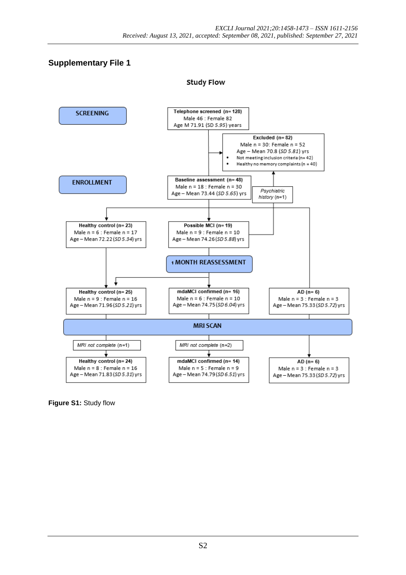### **Supplementary File 1**

**Study Flow** 



**Figure S1:** Study flow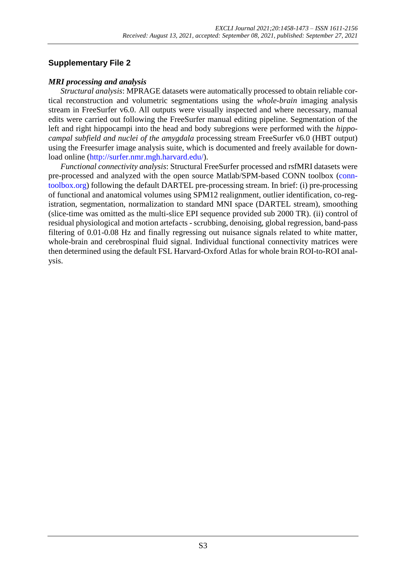### **Supplementary File 2**

#### *MRI processing and analysis*

*Structural analysis*: MPRAGE datasets were automatically processed to obtain reliable cortical reconstruction and volumetric segmentations using the *whole-brain* imaging analysis stream in FreeSurfer v6.0. All outputs were visually inspected and where necessary, manual edits were carried out following the FreeSurfer manual editing pipeline. Segmentation of the left and right hippocampi into the head and body subregions were performed with the *hippocampal subfield and nuclei of the amygdala* processing stream FreeSurfer v6.0 (HBT output) using the Freesurfer image analysis suite, which is documented and freely available for download online [\(http://surfer.nmr.mgh.harvard.edu/\)](http://surfer.nmr.mgh.harvard.edu/).

*Functional connectivity analysis*: Structural FreeSurfer processed and rsfMRI datasets were pre-processed and analyzed with the open source Matlab/SPM-based CONN toolbox [\(conn](https://web.conn-toolbox.org/)[toolbox.org\)](https://web.conn-toolbox.org/) following the default DARTEL pre-processing stream. In brief: (i) pre-processing of functional and anatomical volumes using SPM12 realignment, outlier identification, co-registration, segmentation, normalization to standard MNI space (DARTEL stream), smoothing (slice-time was omitted as the multi-slice EPI sequence provided sub 2000 TR). (ii) control of residual physiological and motion artefacts - scrubbing, denoising, global regression, band-pass filtering of 0.01-0.08 Hz and finally regressing out nuisance signals related to white matter, whole-brain and cerebrospinal fluid signal. Individual functional connectivity matrices were then determined using the default FSL Harvard-Oxford Atlas for whole brain ROI-to-ROI analysis.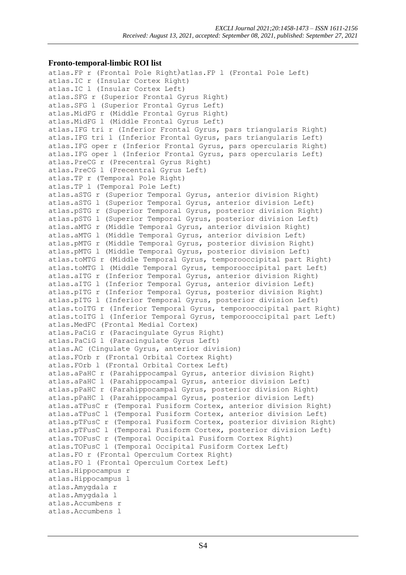#### **Fronto-temporal-limbic ROI list**

```
atlas.FP r (Frontal Pole Right)atlas.FP l (Frontal Pole Left)
atlas.IC r (Insular Cortex Right)
atlas.IC l (Insular Cortex Left)
atlas.SFG r (Superior Frontal Gyrus Right)
atlas.SFG l (Superior Frontal Gyrus Left)
atlas.MidFG r (Middle Frontal Gyrus Right)
atlas.MidFG l (Middle Frontal Gyrus Left)
atlas.IFG tri r (Inferior Frontal Gyrus, pars triangularis Right)
atlas.IFG tri l (Inferior Frontal Gyrus, pars triangularis Left)
atlas.IFG oper r (Inferior Frontal Gyrus, pars opercularis Right)
atlas.IFG oper l (Inferior Frontal Gyrus, pars opercularis Left)
atlas.PreCG r (Precentral Gyrus Right)
atlas.PreCG l (Precentral Gyrus Left)
atlas.TP r (Temporal Pole Right)
atlas.TP l (Temporal Pole Left)
atlas.aSTG r (Superior Temporal Gyrus, anterior division Right)
atlas.aSTG l (Superior Temporal Gyrus, anterior division Left)
atlas.pSTG r (Superior Temporal Gyrus, posterior division Right)
atlas.pSTG l (Superior Temporal Gyrus, posterior division Left)
atlas.aMTG r (Middle Temporal Gyrus, anterior division Right)
atlas.aMTG l (Middle Temporal Gyrus, anterior division Left)
atlas.pMTG r (Middle Temporal Gyrus, posterior division Right)
atlas.pMTG l (Middle Temporal Gyrus, posterior division Left)
atlas.toMTG r (Middle Temporal Gyrus, temporooccipital part Right)
atlas.toMTG l (Middle Temporal Gyrus, temporooccipital part Left)
atlas.aITG r (Inferior Temporal Gyrus, anterior division Right)
atlas.aITG l (Inferior Temporal Gyrus, anterior division Left)
atlas.pITG r (Inferior Temporal Gyrus, posterior division Right)
atlas.pITG l (Inferior Temporal Gyrus, posterior division Left)
atlas.toITG r (Inferior Temporal Gyrus, temporooccipital part Right)
atlas.toITG l (Inferior Temporal Gyrus, temporooccipital part Left)
atlas.MedFC (Frontal Medial Cortex)
atlas.PaCiG r (Paracingulate Gyrus Right)
atlas.PaCiG l (Paracingulate Gyrus Left)
atlas.AC (Cingulate Gyrus, anterior division)
atlas.FOrb r (Frontal Orbital Cortex Right)
atlas.FOrb l (Frontal Orbital Cortex Left)
atlas.aPaHC r (Parahippocampal Gyrus, anterior division Right)
atlas.aPaHC l (Parahippocampal Gyrus, anterior division Left)
atlas.pPaHC r (Parahippocampal Gyrus, posterior division Right)
atlas.pPaHC l (Parahippocampal Gyrus, posterior division Left)
atlas.aTFusC r (Temporal Fusiform Cortex, anterior division Right)
atlas.aTFusC l (Temporal Fusiform Cortex, anterior division Left)
atlas.pTFusC r (Temporal Fusiform Cortex, posterior division Right)
atlas.pTFusC l (Temporal Fusiform Cortex, posterior division Left)
atlas.TOFusC r (Temporal Occipital Fusiform Cortex Right)
atlas.TOFusC l (Temporal Occipital Fusiform Cortex Left)
atlas.FO r (Frontal Operculum Cortex Right)
atlas.FO l (Frontal Operculum Cortex Left)
atlas.Hippocampus r
atlas.Hippocampus l
atlas.Amygdala r
atlas.Amygdala l
atlas.Accumbens r
atlas.Accumbens l
```